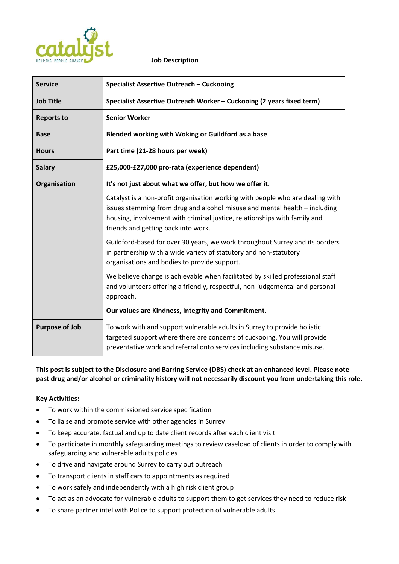

#### **Job Description**

| <b>Service</b>        | Specialist Assertive Outreach - Cuckooing                                                                                                                                                                                                                                        |
|-----------------------|----------------------------------------------------------------------------------------------------------------------------------------------------------------------------------------------------------------------------------------------------------------------------------|
| <b>Job Title</b>      | Specialist Assertive Outreach Worker - Cuckooing (2 years fixed term)                                                                                                                                                                                                            |
| <b>Reports to</b>     | <b>Senior Worker</b>                                                                                                                                                                                                                                                             |
| <b>Base</b>           | Blended working with Woking or Guildford as a base                                                                                                                                                                                                                               |
| <b>Hours</b>          | Part time (21-28 hours per week)                                                                                                                                                                                                                                                 |
| <b>Salary</b>         | £25,000-£27,000 pro-rata (experience dependent)                                                                                                                                                                                                                                  |
| Organisation          | It's not just about what we offer, but how we offer it.                                                                                                                                                                                                                          |
|                       | Catalyst is a non-profit organisation working with people who are dealing with<br>issues stemming from drug and alcohol misuse and mental health – including<br>housing, involvement with criminal justice, relationships with family and<br>friends and getting back into work. |
|                       | Guildford-based for over 30 years, we work throughout Surrey and its borders<br>in partnership with a wide variety of statutory and non-statutory<br>organisations and bodies to provide support.                                                                                |
|                       | We believe change is achievable when facilitated by skilled professional staff<br>and volunteers offering a friendly, respectful, non-judgemental and personal<br>approach.                                                                                                      |
|                       | Our values are Kindness, Integrity and Commitment.                                                                                                                                                                                                                               |
| <b>Purpose of Job</b> | To work with and support vulnerable adults in Surrey to provide holistic<br>targeted support where there are concerns of cuckooing. You will provide<br>preventative work and referral onto services including substance misuse.                                                 |

# **This post is subject to the Disclosure and Barring Service (DBS) check at an enhanced level. Please note past drug and/or alcohol or criminality history will not necessarily discount you from undertaking this role.**

## **Key Activities:**

- To work within the commissioned service specification
- To liaise and promote service with other agencies in Surrey
- To keep accurate, factual and up to date client records after each client visit
- To participate in monthly safeguarding meetings to review caseload of clients in order to comply with safeguarding and vulnerable adults policies
- To drive and navigate around Surrey to carry out outreach
- To transport clients in staff cars to appointments as required
- To work safely and independently with a high risk client group
- To act as an advocate for vulnerable adults to support them to get services they need to reduce risk
- To share partner intel with Police to support protection of vulnerable adults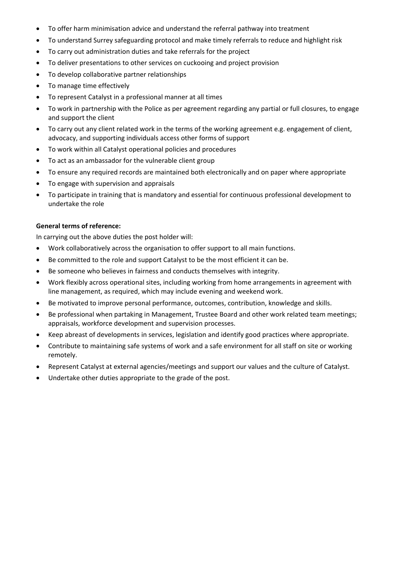- To offer harm minimisation advice and understand the referral pathway into treatment
- To understand Surrey safeguarding protocol and make timely referrals to reduce and highlight risk
- To carry out administration duties and take referrals for the project
- To deliver presentations to other services on cuckooing and project provision
- To develop collaborative partner relationships
- To manage time effectively
- To represent Catalyst in a professional manner at all times
- To work in partnership with the Police as per agreement regarding any partial or full closures, to engage and support the client
- To carry out any client related work in the terms of the working agreement e.g. engagement of client, advocacy, and supporting individuals access other forms of support
- To work within all Catalyst operational policies and procedures
- To act as an ambassador for the vulnerable client group
- To ensure any required records are maintained both electronically and on paper where appropriate
- To engage with supervision and appraisals
- To participate in training that is mandatory and essential for continuous professional development to undertake the role

### **General terms of reference:**

In carrying out the above duties the post holder will:

- Work collaboratively across the organisation to offer support to all main functions.
- Be committed to the role and support Catalyst to be the most efficient it can be.
- Be someone who believes in fairness and conducts themselves with integrity.
- Work flexibly across operational sites, including working from home arrangements in agreement with line management, as required, which may include evening and weekend work.
- Be motivated to improve personal performance, outcomes, contribution, knowledge and skills.
- Be professional when partaking in Management, Trustee Board and other work related team meetings; appraisals, workforce development and supervision processes.
- Keep abreast of developments in services, legislation and identify good practices where appropriate.
- Contribute to maintaining safe systems of work and a safe environment for all staff on site or working remotely.
- Represent Catalyst at external agencies/meetings and support our values and the culture of Catalyst.
- Undertake other duties appropriate to the grade of the post.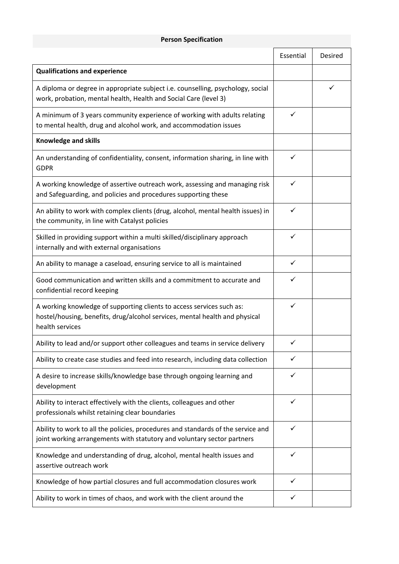### **Person Specification**

|                                                                                                                                                                         | Essential | Desired |
|-------------------------------------------------------------------------------------------------------------------------------------------------------------------------|-----------|---------|
| <b>Qualifications and experience</b>                                                                                                                                    |           |         |
| A diploma or degree in appropriate subject i.e. counselling, psychology, social<br>work, probation, mental health, Health and Social Care (level 3)                     |           | ✓       |
| A minimum of 3 years community experience of working with adults relating<br>to mental health, drug and alcohol work, and accommodation issues                          | ✓         |         |
| <b>Knowledge and skills</b>                                                                                                                                             |           |         |
| An understanding of confidentiality, consent, information sharing, in line with<br><b>GDPR</b>                                                                          |           |         |
| A working knowledge of assertive outreach work, assessing and managing risk<br>and Safeguarding, and policies and procedures supporting these                           |           |         |
| An ability to work with complex clients (drug, alcohol, mental health issues) in<br>the community, in line with Catalyst policies                                       | ✓         |         |
| Skilled in providing support within a multi skilled/disciplinary approach<br>internally and with external organisations                                                 | ✓         |         |
| An ability to manage a caseload, ensuring service to all is maintained                                                                                                  |           |         |
| Good communication and written skills and a commitment to accurate and<br>confidential record keeping                                                                   |           |         |
| A working knowledge of supporting clients to access services such as:<br>hostel/housing, benefits, drug/alcohol services, mental health and physical<br>health services |           |         |
| Ability to lead and/or support other colleagues and teams in service delivery                                                                                           | ✓         |         |
| Ability to create case studies and feed into research, including data collection                                                                                        |           |         |
| A desire to increase skills/knowledge base through ongoing learning and<br>development                                                                                  |           |         |
| Ability to interact effectively with the clients, colleagues and other<br>professionals whilst retaining clear boundaries                                               |           |         |
| Ability to work to all the policies, procedures and standards of the service and<br>joint working arrangements with statutory and voluntary sector partners             |           |         |
| Knowledge and understanding of drug, alcohol, mental health issues and<br>assertive outreach work                                                                       |           |         |
| Knowledge of how partial closures and full accommodation closures work                                                                                                  |           |         |
| Ability to work in times of chaos, and work with the client around the                                                                                                  |           |         |